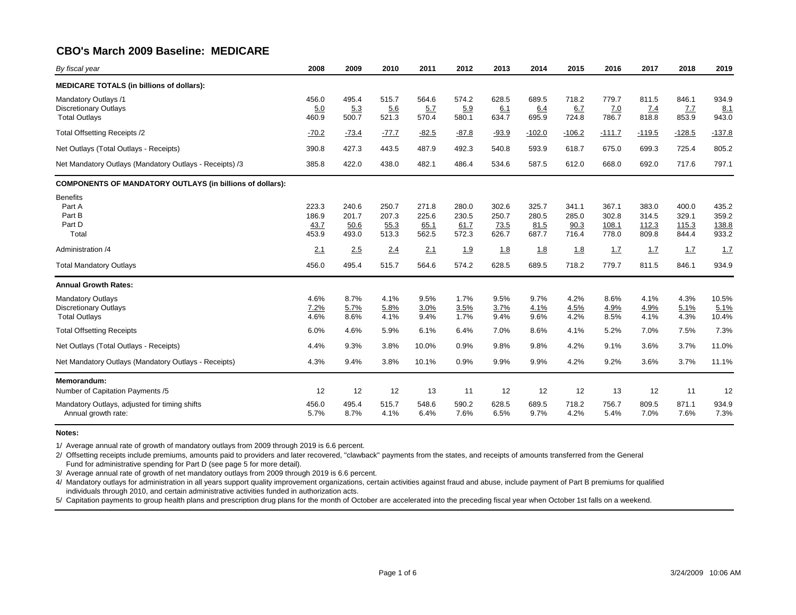| By fiscal year                                                                                                       | 2008                            | 2009                            | 2010                            | 2011                            | 2012                            | 2013                            | 2014                            | 2015                            | 2016                             | 2017                             | 2018                             | 2019                             |
|----------------------------------------------------------------------------------------------------------------------|---------------------------------|---------------------------------|---------------------------------|---------------------------------|---------------------------------|---------------------------------|---------------------------------|---------------------------------|----------------------------------|----------------------------------|----------------------------------|----------------------------------|
| <b>MEDICARE TOTALS (in billions of dollars):</b>                                                                     |                                 |                                 |                                 |                                 |                                 |                                 |                                 |                                 |                                  |                                  |                                  |                                  |
| <b>Mandatory Outlays /1</b><br><b>Discretionary Outlays</b><br><b>Total Outlays</b>                                  | 456.0<br>5.0<br>460.9           | 495.4<br>5.3<br>500.7           | 515.7<br>5.6<br>521.3           | 564.6<br>5.7<br>570.4           | 574.2<br>5.9<br>580.1           | 628.5<br>6.1<br>634.7           | 689.5<br>6.4<br>695.9           | 718.2<br>6.7<br>724.8           | 779.7<br>7.0<br>786.7            | 811.5<br>7.4<br>818.8            | 846.1<br>7.7<br>853.9            | 934.9<br>8.1<br>943.0            |
| Total Offsetting Receipts /2                                                                                         | $-70.2$                         | $-73.4$                         | $-77.7$                         | $-82.5$                         | $-87.8$                         | $-93.9$                         | $-102.0$                        | $-106.2$                        | $-111.7$                         | $-119.5$                         | $-128.5$                         | $-137.8$                         |
| Net Outlays (Total Outlays - Receipts)                                                                               | 390.8                           | 427.3                           | 443.5                           | 487.9                           | 492.3                           | 540.8                           | 593.9                           | 618.7                           | 675.0                            | 699.3                            | 725.4                            | 805.2                            |
| Net Mandatory Outlays (Mandatory Outlays - Receipts) /3                                                              | 385.8                           | 422.0                           | 438.0                           | 482.1                           | 486.4                           | 534.6                           | 587.5                           | 612.0                           | 668.0                            | 692.0                            | 717.6                            | 797.1                            |
| <b>COMPONENTS OF MANDATORY OUTLAYS (in billions of dollars):</b>                                                     |                                 |                                 |                                 |                                 |                                 |                                 |                                 |                                 |                                  |                                  |                                  |                                  |
| <b>Benefits</b><br>Part A<br>Part B<br>Part D<br>Total                                                               | 223.3<br>186.9<br>43.7<br>453.9 | 240.6<br>201.7<br>50.6<br>493.0 | 250.7<br>207.3<br>55.3<br>513.3 | 271.8<br>225.6<br>65.1<br>562.5 | 280.0<br>230.5<br>61.7<br>572.3 | 302.6<br>250.7<br>73.5<br>626.7 | 325.7<br>280.5<br>81.5<br>687.7 | 341.1<br>285.0<br>90.3<br>716.4 | 367.1<br>302.8<br>108.1<br>778.0 | 383.0<br>314.5<br>112.3<br>809.8 | 400.0<br>329.1<br>115.3<br>844.4 | 435.2<br>359.2<br>138.8<br>933.2 |
| Administration /4                                                                                                    | 2.1                             | 2.5                             | 2.4                             | 2.1                             | 1.9                             | 1.8                             | <u>1.8</u>                      | 1.8                             | 1.7                              | 1.7                              | 1.7                              | 1.7                              |
| <b>Total Mandatory Outlays</b>                                                                                       | 456.0                           | 495.4                           | 515.7                           | 564.6                           | 574.2                           | 628.5                           | 689.5                           | 718.2                           | 779.7                            | 811.5                            | 846.1                            | 934.9                            |
| <b>Annual Growth Rates:</b>                                                                                          |                                 |                                 |                                 |                                 |                                 |                                 |                                 |                                 |                                  |                                  |                                  |                                  |
| <b>Mandatory Outlays</b><br><b>Discretionary Outlays</b><br><b>Total Outlays</b><br><b>Total Offsetting Receipts</b> | 4.6%<br>7.2%<br>4.6%<br>6.0%    | 8.7%<br>5.7%<br>8.6%<br>4.6%    | 4.1%<br>5.8%<br>4.1%<br>5.9%    | 9.5%<br>3.0%<br>9.4%<br>6.1%    | 1.7%<br>3.5%<br>1.7%<br>6.4%    | 9.5%<br>3.7%<br>9.4%<br>7.0%    | 9.7%<br>4.1%<br>9.6%<br>8.6%    | 4.2%<br>4.5%<br>4.2%<br>4.1%    | 8.6%<br>4.9%<br>8.5%<br>5.2%     | 4.1%<br>4.9%<br>4.1%<br>7.0%     | 4.3%<br>5.1%<br>4.3%<br>7.5%     | 10.5%<br>5.1%<br>10.4%<br>7.3%   |
| Net Outlays (Total Outlays - Receipts)                                                                               | 4.4%                            | 9.3%                            | 3.8%                            | 10.0%                           | 0.9%                            | 9.8%                            | 9.8%                            | 4.2%                            | 9.1%                             | 3.6%                             | 3.7%                             | 11.0%                            |
| Net Mandatory Outlays (Mandatory Outlays - Receipts)                                                                 | 4.3%                            | 9.4%                            | 3.8%                            | 10.1%                           | 0.9%                            | 9.9%                            | 9.9%                            | 4.2%                            | 9.2%                             | 3.6%                             | 3.7%                             | 11.1%                            |
| Memorandum:                                                                                                          |                                 |                                 |                                 |                                 |                                 |                                 |                                 |                                 |                                  |                                  |                                  |                                  |
| Number of Capitation Payments /5                                                                                     | 12                              | 12                              | 12                              | 13                              | 11                              | 12                              | 12                              | 12                              | 13                               | 12                               | 11                               | 12                               |
| Mandatory Outlays, adjusted for timing shifts<br>Annual growth rate:                                                 | 456.0<br>5.7%                   | 495.4<br>8.7%                   | 515.7<br>4.1%                   | 548.6<br>6.4%                   | 590.2<br>7.6%                   | 628.5<br>6.5%                   | 689.5<br>9.7%                   | 718.2<br>4.2%                   | 756.7<br>5.4%                    | 809.5<br>7.0%                    | 871.1<br>7.6%                    | 934.9<br>7.3%                    |

#### **Notes:**

1/ Average annual rate of growth of mandatory outlays from 2009 through 2019 is 6.6 percent.

2/ Offsetting receipts include premiums, amounts paid to providers and later recovered, "clawback" payments from the states, and receipts of amounts transferred from the General Fund for administrative spending for Part D (see page 5 for more detail).

3/ Average annual rate of growth of net mandatory outlays from 2009 through 2019 is 6.6 percent.

4/ Mandatory outlays for administration in all years support quality improvement organizations, certain activities against fraud and abuse, include payment of Part B premiums for qualified individuals through 2010, and certain administrative activities funded in authorization acts.

5/ Capitation payments to group health plans and prescription drug plans for the month of October are accelerated into the preceding fiscal year when October 1st falls on a weekend.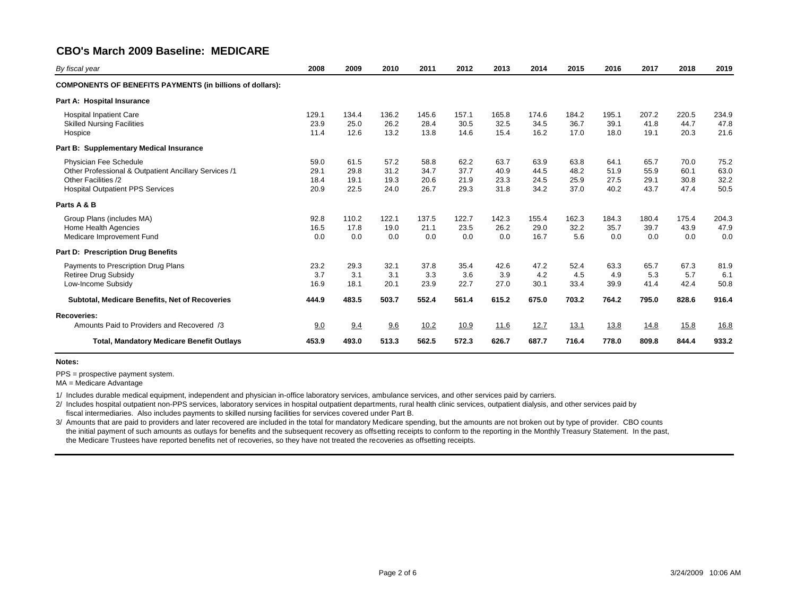| By fiscal year                                                                                                                                    | 2008                         | 2009                         | 2010                         | 2011                         | 2012                         | 2013                         | 2014                         | 2015                         | 2016                         | 2017                         | 2018                         | 2019                         |
|---------------------------------------------------------------------------------------------------------------------------------------------------|------------------------------|------------------------------|------------------------------|------------------------------|------------------------------|------------------------------|------------------------------|------------------------------|------------------------------|------------------------------|------------------------------|------------------------------|
| <b>COMPONENTS OF BENEFITS PAYMENTS (in billions of dollars):</b>                                                                                  |                              |                              |                              |                              |                              |                              |                              |                              |                              |                              |                              |                              |
| Part A: Hospital Insurance                                                                                                                        |                              |                              |                              |                              |                              |                              |                              |                              |                              |                              |                              |                              |
| <b>Hospital Inpatient Care</b><br><b>Skilled Nursing Facilities</b><br>Hospice                                                                    | 129.1<br>23.9<br>11.4        | 134.4<br>25.0<br>12.6        | 136.2<br>26.2<br>13.2        | 145.6<br>28.4<br>13.8        | 157.1<br>30.5<br>14.6        | 165.8<br>32.5<br>15.4        | 174.6<br>34.5<br>16.2        | 184.2<br>36.7<br>17.0        | 195.1<br>39.1<br>18.0        | 207.2<br>41.8<br>19.1        | 220.5<br>44.7<br>20.3        | 234.9<br>47.8<br>21.6        |
| <b>Supplementary Medical Insurance</b><br>Part B:                                                                                                 |                              |                              |                              |                              |                              |                              |                              |                              |                              |                              |                              |                              |
| Physician Fee Schedule<br>Other Professional & Outpatient Ancillary Services /1<br>Other Facilities /2<br><b>Hospital Outpatient PPS Services</b> | 59.0<br>29.1<br>18.4<br>20.9 | 61.5<br>29.8<br>19.1<br>22.5 | 57.2<br>31.2<br>19.3<br>24.0 | 58.8<br>34.7<br>20.6<br>26.7 | 62.2<br>37.7<br>21.9<br>29.3 | 63.7<br>40.9<br>23.3<br>31.8 | 63.9<br>44.5<br>24.5<br>34.2 | 63.8<br>48.2<br>25.9<br>37.0 | 64.1<br>51.9<br>27.5<br>40.2 | 65.7<br>55.9<br>29.1<br>43.7 | 70.0<br>60.1<br>30.8<br>47.4 | 75.2<br>63.0<br>32.2<br>50.5 |
| Parts A & B                                                                                                                                       |                              |                              |                              |                              |                              |                              |                              |                              |                              |                              |                              |                              |
| Group Plans (includes MA)<br>Home Health Agencies<br>Medicare Improvement Fund                                                                    | 92.8<br>16.5<br>0.0          | 110.2<br>17.8<br>0.0         | 122.1<br>19.0<br>0.0         | 137.5<br>21.1<br>0.0         | 122.7<br>23.5<br>0.0         | 142.3<br>26.2<br>0.0         | 155.4<br>29.0<br>16.7        | 162.3<br>32.2<br>5.6         | 184.3<br>35.7<br>0.0         | 180.4<br>39.7<br>0.0         | 175.4<br>43.9<br>0.0         | 204.3<br>47.9<br>0.0         |
| <b>Prescription Drug Benefits</b><br>Part D:                                                                                                      |                              |                              |                              |                              |                              |                              |                              |                              |                              |                              |                              |                              |
| Payments to Prescription Drug Plans<br><b>Retiree Drug Subsidy</b><br>Low-Income Subsidy                                                          | 23.2<br>3.7<br>16.9          | 29.3<br>3.1<br>18.1          | 32.1<br>3.1<br>20.1          | 37.8<br>3.3<br>23.9          | 35.4<br>3.6<br>22.7          | 42.6<br>3.9<br>27.0          | 47.2<br>4.2<br>30.1          | 52.4<br>4.5<br>33.4          | 63.3<br>4.9<br>39.9          | 65.7<br>5.3<br>41.4          | 67.3<br>5.7<br>42.4          | 81.9<br>6.1<br>50.8          |
| Subtotal, Medicare Benefits, Net of Recoveries                                                                                                    | 444.9                        | 483.5                        | 503.7                        | 552.4                        | 561.4                        | 615.2                        | 675.0                        | 703.2                        | 764.2                        | 795.0                        | 828.6                        | 916.4                        |
| <b>Recoveries:</b>                                                                                                                                |                              |                              |                              |                              |                              |                              |                              |                              |                              |                              |                              |                              |
| Amounts Paid to Providers and Recovered /3                                                                                                        | 9.0                          | 9.4                          | 9.6                          | 10.2                         | 10.9                         | 11.6                         | 12.7                         | 13.1                         | 13.8                         | 14.8                         | 15.8                         | <u>16.8</u>                  |
| <b>Total, Mandatory Medicare Benefit Outlays</b>                                                                                                  | 453.9                        | 493.0                        | 513.3                        | 562.5                        | 572.3                        | 626.7                        | 687.7                        | 716.4                        | 778.0                        | 809.8                        | 844.4                        | 933.2                        |

**Notes:**

PPS = prospective payment system.

MA = Medicare Advantage

1/ Includes durable medical equipment, independent and physician in-office laboratory services, ambulance services, and other services paid by carriers.

2/ Includes hospital outpatient non-PPS services, laboratory services in hospital outpatient departments, rural health clinic services, outpatient dialysis, and other services paid by fiscal intermediaries. Also includes payments to skilled nursing facilities for services covered under Part B.

3/ Amounts that are paid to providers and later recovered are included in the total for mandatory Medicare spending, but the amounts are not broken out by type of provider. CBO counts the initial payment of such amounts as outlays for benefits and the subsequent recovery as offsetting receipts to conform to the reporting in the Monthly Treasury Statement. In the past, the Medicare Trustees have reported benefits net of recoveries, so they have not treated the recoveries as offsetting receipts.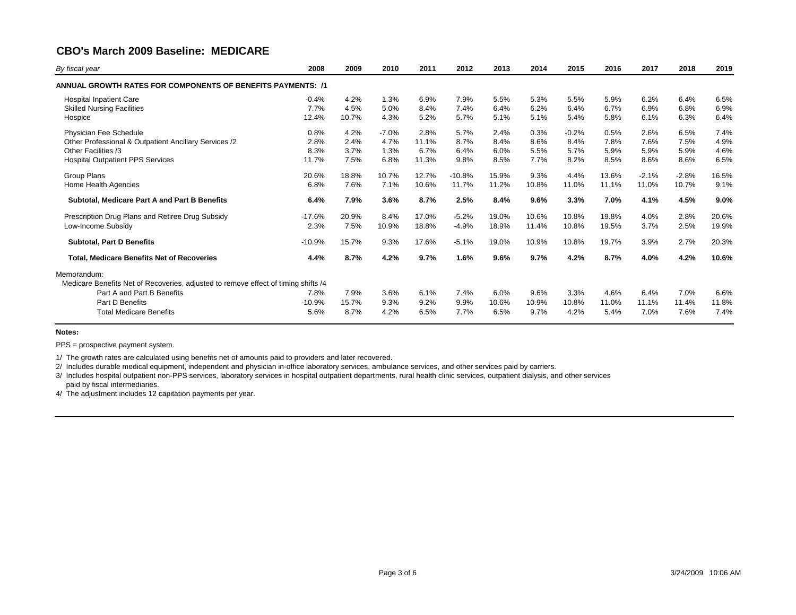| 2008     | 2009                                                                                                                                                         | 2010    | 2011  | 2012     | 2013  | 2014  | 2015    | 2016  | 2017    | 2018    | 2019  |
|----------|--------------------------------------------------------------------------------------------------------------------------------------------------------------|---------|-------|----------|-------|-------|---------|-------|---------|---------|-------|
|          |                                                                                                                                                              |         |       |          |       |       |         |       |         |         |       |
|          |                                                                                                                                                              |         |       |          |       |       |         |       |         |         | 6.5%  |
| 7.7%     | 4.5%                                                                                                                                                         | 5.0%    | 8.4%  | 7.4%     | 6.4%  | 6.2%  | 6.4%    | 6.7%  | 6.9%    | 6.8%    | 6.9%  |
| 12.4%    | 10.7%                                                                                                                                                        | 4.3%    | 5.2%  | 5.7%     | 5.1%  | 5.1%  | 5.4%    | 5.8%  | 6.1%    | 6.3%    | 6.4%  |
| 0.8%     | 4.2%                                                                                                                                                         | $-7.0%$ | 2.8%  | 5.7%     | 2.4%  | 0.3%  | $-0.2%$ | 0.5%  | 2.6%    | 6.5%    | 7.4%  |
| 2.8%     | 2.4%                                                                                                                                                         | 4.7%    | 11.1% | 8.7%     | 8.4%  | 8.6%  | 8.4%    | 7.8%  | 7.6%    | 7.5%    | 4.9%  |
| 8.3%     | 3.7%                                                                                                                                                         | 1.3%    | 6.7%  | 6.4%     | 6.0%  | 5.5%  | 5.7%    | 5.9%  | 5.9%    | 5.9%    | 4.6%  |
| 11.7%    | 7.5%                                                                                                                                                         | 6.8%    | 11.3% | 9.8%     | 8.5%  | 7.7%  | 8.2%    | 8.5%  | 8.6%    | 8.6%    | 6.5%  |
| 20.6%    | 18.8%                                                                                                                                                        | 10.7%   | 12.7% | $-10.8%$ | 15.9% | 9.3%  | 4.4%    | 13.6% | $-2.1%$ | $-2.8%$ | 16.5% |
| 6.8%     | 7.6%                                                                                                                                                         | 7.1%    | 10.6% | 11.7%    | 11.2% | 10.8% | 11.0%   | 11.1% | 11.0%   | 10.7%   | 9.1%  |
| 6.4%     | 7.9%                                                                                                                                                         | 3.6%    | 8.7%  | 2.5%     | 8.4%  | 9.6%  | 3.3%    | 7.0%  | 4.1%    | 4.5%    | 9.0%  |
| $-17.6%$ | 20.9%                                                                                                                                                        | 8.4%    | 17.0% | $-5.2%$  | 19.0% | 10.6% | 10.8%   | 19.8% | 4.0%    | 2.8%    | 20.6% |
| 2.3%     | 7.5%                                                                                                                                                         | 10.9%   | 18.8% | $-4.9%$  | 18.9% | 11.4% | 10.8%   | 19.5% | 3.7%    | 2.5%    | 19.9% |
| $-10.9%$ | 15.7%                                                                                                                                                        | 9.3%    | 17.6% | $-5.1%$  | 19.0% | 10.9% | 10.8%   | 19.7% | 3.9%    | 2.7%    | 20.3% |
| 4.4%     | 8.7%                                                                                                                                                         | 4.2%    | 9.7%  | 1.6%     | 9.6%  | 9.7%  | 4.2%    | 8.7%  | 4.0%    | 4.2%    | 10.6% |
|          |                                                                                                                                                              |         |       |          |       |       |         |       |         |         |       |
|          |                                                                                                                                                              |         |       |          |       |       |         |       |         |         |       |
| 7.8%     | 7.9%                                                                                                                                                         | 3.6%    | 6.1%  | 7.4%     | 6.0%  | 9.6%  | 3.3%    | 4.6%  | 6.4%    | 7.0%    | 6.6%  |
| $-10.9%$ | 15.7%                                                                                                                                                        | 9.3%    | 9.2%  | 9.9%     | 10.6% | 10.9% | 10.8%   | 11.0% | 11.1%   | 11.4%   | 11.8% |
| 5.6%     | 8.7%                                                                                                                                                         | 4.2%    | 6.5%  | 7.7%     | 6.5%  | 9.7%  | 4.2%    | 5.4%  | 7.0%    | 7.6%    | 7.4%  |
|          | ANNUAL GROWTH RATES FOR COMPONENTS OF BENEFITS PAYMENTS: /1<br>$-0.4%$<br>Medicare Benefits Net of Recoveries, adjusted to remove effect of timing shifts /4 | 4.2%    | 1.3%  | 6.9%     | 7.9%  | 5.5%  | 5.3%    | 5.5%  | 5.9%    | 6.2%    | 6.4%  |

### **Notes:**

PPS = prospective payment system.

1/ The growth rates are calculated using benefits net of amounts paid to providers and later recovered.

2/ Includes durable medical equipment, independent and physician in-office laboratory services, ambulance services, and other services paid by carriers.

3/ Includes hospital outpatient non-PPS services, laboratory services in hospital outpatient departments, rural health clinic services, outpatient dialysis, and other services

paid by fiscal intermediaries.

4/ The adjustment includes 12 capitation payments per year.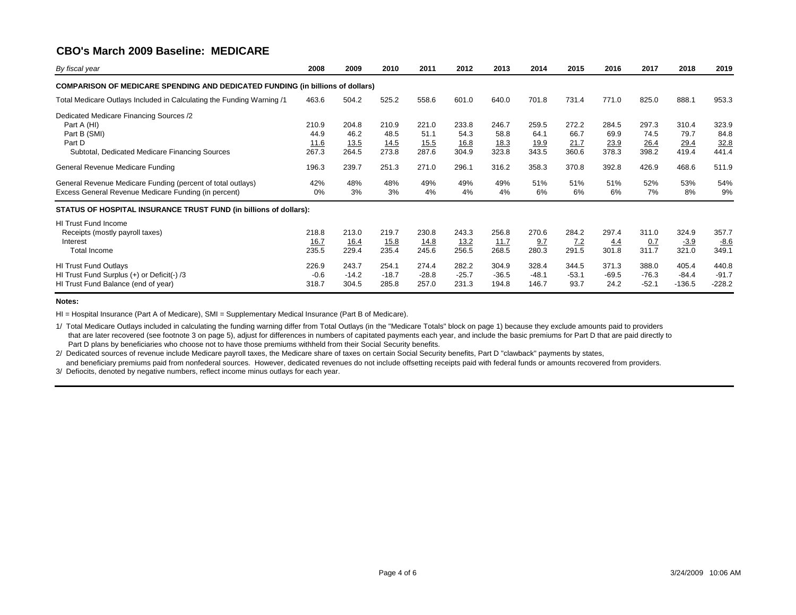| By fiscal year                                                                                                                                                         | 2008                                    | 2009                                    | 2010                                    | 2011                                    | 2012                                    | 2013                                    | 2014                                    | 2015                                    | 2016                                    | 2017                                    | 2018                                    | 2019                                    |
|------------------------------------------------------------------------------------------------------------------------------------------------------------------------|-----------------------------------------|-----------------------------------------|-----------------------------------------|-----------------------------------------|-----------------------------------------|-----------------------------------------|-----------------------------------------|-----------------------------------------|-----------------------------------------|-----------------------------------------|-----------------------------------------|-----------------------------------------|
| <b>COMPARISON OF MEDICARE SPENDING AND DEDICATED FUNDING (in billions of dollars)</b>                                                                                  |                                         |                                         |                                         |                                         |                                         |                                         |                                         |                                         |                                         |                                         |                                         |                                         |
| Total Medicare Outlays Included in Calculating the Funding Warning /1                                                                                                  | 463.6                                   | 504.2                                   | 525.2                                   | 558.6                                   | 601.0                                   | 640.0                                   | 701.8                                   | 731.4                                   | 771.0                                   | 825.0                                   | 888.1                                   | 953.3                                   |
| Dedicated Medicare Financing Sources /2<br>Part A (HI)<br>Part B (SMI)<br>Part D<br>Subtotal, Dedicated Medicare Financing Sources<br>General Revenue Medicare Funding | 210.9<br>44.9<br>11.6<br>267.3<br>196.3 | 204.8<br>46.2<br>13.5<br>264.5<br>239.7 | 210.9<br>48.5<br>14.5<br>273.8<br>251.3 | 221.0<br>51.1<br>15.5<br>287.6<br>271.0 | 233.8<br>54.3<br>16.8<br>304.9<br>296.1 | 246.7<br>58.8<br>18.3<br>323.8<br>316.2 | 259.5<br>64.1<br>19.9<br>343.5<br>358.3 | 272.2<br>66.7<br>21.7<br>360.6<br>370.8 | 284.5<br>69.9<br>23.9<br>378.3<br>392.8 | 297.3<br>74.5<br>26.4<br>398.2<br>426.9 | 310.4<br>79.7<br>29.4<br>419.4<br>468.6 | 323.9<br>84.8<br>32.8<br>441.4<br>511.9 |
| General Revenue Medicare Funding (percent of total outlays)<br>Excess General Revenue Medicare Funding (in percent)                                                    | 42%<br>0%                               | 48%<br>3%                               | 48%<br>3%                               | 49%<br>4%                               | 49%<br>4%                               | 49%<br>4%                               | 51%<br>6%                               | 51%<br>6%                               | 51%<br>6%                               | 52%<br>7%                               | 53%<br>8%                               | 54%<br>9%                               |
| STATUS OF HOSPITAL INSURANCE TRUST FUND (in billions of dollars):                                                                                                      |                                         |                                         |                                         |                                         |                                         |                                         |                                         |                                         |                                         |                                         |                                         |                                         |
| <b>HI Trust Fund Income</b><br>Receipts (mostly payroll taxes)<br>Interest<br><b>Total Income</b>                                                                      | 218.8<br><u>16.7</u><br>235.5           | 213.0<br><u>16.4</u><br>229.4           | 219.7<br>15.8<br>235.4                  | 230.8<br><u>14.8</u><br>245.6           | 243.3<br><u>13.2</u><br>256.5           | 256.8<br><u>11.7</u><br>268.5           | 270.6<br>9.7<br>280.3                   | 284.2<br>7.2<br>291.5                   | 297.4<br>4.4<br>301.8                   | 311.0<br>0.7<br>311.7                   | 324.9<br>$-3.9$<br>321.0                | 357.7<br>$-8.6$<br>349.1                |
| <b>HI Trust Fund Outlays</b><br>HI Trust Fund Surplus (+) or Deficit(-) /3<br>HI Trust Fund Balance (end of year)                                                      | 226.9<br>$-0.6$<br>318.7                | 243.7<br>$-14.2$<br>304.5               | 254.1<br>$-18.7$<br>285.8               | 274.4<br>$-28.8$<br>257.0               | 282.2<br>$-25.7$<br>231.3               | 304.9<br>$-36.5$<br>194.8               | 328.4<br>$-48.1$<br>146.7               | 344.5<br>$-53.1$<br>93.7                | 371.3<br>$-69.5$<br>24.2                | 388.0<br>$-76.3$<br>$-52.1$             | 405.4<br>$-84.4$<br>$-136.5$            | 440.8<br>$-91.7$<br>$-228.2$            |

#### **Notes:**

HI = Hospital Insurance (Part A of Medicare), SMI = Supplementary Medical Insurance (Part B of Medicare).

1/ Total Medicare Outlays included in calculating the funding warning differ from Total Outlays (in the "Medicare Totals" block on page 1) because they exclude amounts paid to providers that are later recovered (see footnote 3 on page 5), adjust for differences in numbers of capitated payments each year, and include the basic premiums for Part D that are paid directly to Part D plans by beneficiaries who choose not to have those premiums withheld from their Social Security benefits.

2/ Dedicated sources of revenue include Medicare payroll taxes, the Medicare share of taxes on certain Social Security benefits, Part D "clawback" payments by states, and beneficiary premiums paid from nonfederal sources. However, dedicated revenues do not include offsetting receipts paid with federal funds or amounts recovered from providers.

3/ Defiocits, denoted by negative numbers, reflect income minus outlays for each year.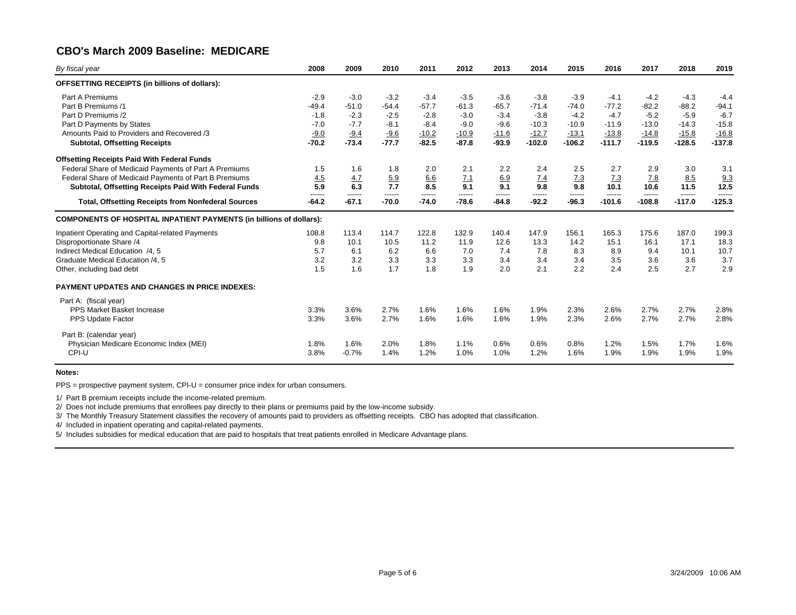| By fiscal year                                                             | 2008              | 2009              | 2010              | 2011              | 2012              | 2013              | 2014              | 2015              | 2016               | 2017               | 2018               | 2019              |
|----------------------------------------------------------------------------|-------------------|-------------------|-------------------|-------------------|-------------------|-------------------|-------------------|-------------------|--------------------|--------------------|--------------------|-------------------|
| OFFSETTING RECEIPTS (in billions of dollars):                              |                   |                   |                   |                   |                   |                   |                   |                   |                    |                    |                    |                   |
| Part A Premiums                                                            | $-2.9$            | $-3.0$            | $-3.2$            | $-3.4$            | $-3.5$            | $-3.6$            | $-3.8$            | $-3.9$            | $-4.1$             | $-4.2$             | $-4.3$             | $-4.4$            |
| Part B Premiums /1                                                         | $-49.4$           | $-51.0$           | $-54.4$           | $-57.7$           | $-61.3$           | $-65.7$           | $-71.4$           | $-74.0$           | $-77.2$            | $-82.2$            | $-88.2$            | $-94.1$           |
| Part D Premiums /2                                                         | $-1.8$            | $-2.3$            | $-2.5$            | $-2.8$            | $-3.0$            | $-3.4$            | $-3.8$            | $-4.2$            | $-4.7$             | $-5.2$             | $-5.9$             | $-6.7$            |
| Part D Payments by States                                                  | $-7.0$            | $-7.7$            | $-8.1$            | $-8.4$            | $-9.0$            | $-9.6$            | $-10.3$           | $-10.9$           | $-11.9$            | $-13.0$            | $-14.3$            | $-15.8$           |
| Amounts Paid to Providers and Recovered /3                                 | $-9.0$            | $-9.4$            | $-9.6$            | $-10.2$           | $-10.9$           | $-11.6$           | $-12.7$           | $-13.1$           | $-13.8$            | $-14.8$            | $-15.8$            | $-16.8$           |
| <b>Subtotal, Offsetting Receipts</b>                                       | $-70.2$           | $-73.4$           | $-77.7$           | $-82.5$           | $-87.8$           | $-93.9$           | $-102.0$          | $-106.2$          | $-111.7$           | $-119.5$           | $-128.5$           | $-137.8$          |
| <b>Offsetting Receipts Paid With Federal Funds</b>                         |                   |                   |                   |                   |                   |                   |                   |                   |                    |                    |                    |                   |
| Federal Share of Medicaid Payments of Part A Premiums                      | 1.5               | 1.6               | 1.8               | 2.0               | 2.1               | 2.2               | 2.4               | 2.5               | 2.7                | 2.9                | 3.0                | 3.1               |
| Federal Share of Medicaid Payments of Part B Premiums                      | 4.5               | 4.7               | 5.9               | 6.6               | 7.1               | 6.9               | 7.4               | 7.3               | 7.3                | 7.8                | 8.5                | 9.3               |
| Subtotal, Offsetting Receipts Paid With Federal Funds                      | 5.9               | 6.3               | 7.7               | 8.5               | 9.1               | 9.1               | 9.8               | 9.8               | 10.1               | 10.6               | 11.5               | 12.5              |
| <b>Total, Offsetting Receipts from Nonfederal Sources</b>                  | ------<br>$-64.2$ | ------<br>$-67.1$ | ------<br>$-70.0$ | ------<br>$-74.0$ | ------<br>$-78.6$ | ------<br>$-84.8$ | ------<br>$-92.2$ | ------<br>$-96.3$ | ------<br>$-101.6$ | ------<br>$-108.8$ | ------<br>$-117.0$ | -----<br>$-125.3$ |
| <b>COMPONENTS OF HOSPITAL INPATIENT PAYMENTS (in billions of dollars):</b> |                   |                   |                   |                   |                   |                   |                   |                   |                    |                    |                    |                   |
| Inpatient Operating and Capital-related Payments                           | 108.8             | 113.4             | 114.7             | 122.8             | 132.9             | 140.4             | 147.9             | 156.1             | 165.3              | 175.6              | 187.0              | 199.3             |
| Disproportionate Share /4                                                  | 9.8               | 10.1              | 10.5              | 11.2              | 11.9              | 12.6              | 13.3              | 14.2              | 15.1               | 16.1               | 17.1               | 18.3              |
| Indirect Medical Education /4, 5                                           | 5.7               | 6.1               | 6.2               | 6.6               | 7.0               | 7.4               | 7.8               | 8.3               | 8.9                | 9.4                | 10.1               | 10.7              |
| Graduate Medical Education /4, 5                                           | 3.2               | 3.2               | 3.3               | 3.3               | 3.3               | 3.4               | 3.4               | 3.4               | 3.5                | 3.6                | 3.6                | 3.7               |
| Other, including bad debt                                                  | 1.5               | 1.6               | 1.7               | 1.8               | 1.9               | 2.0               | 2.1               | 2.2               | 2.4                | 2.5                | 2.7                | 2.9               |
| <b>PAYMENT UPDATES AND CHANGES IN PRICE INDEXES:</b>                       |                   |                   |                   |                   |                   |                   |                   |                   |                    |                    |                    |                   |
| Part A: (fiscal year)                                                      |                   |                   |                   |                   |                   |                   |                   |                   |                    |                    |                    |                   |
| <b>PPS Market Basket Increase</b>                                          | 3.3%              | 3.6%              | 2.7%              | 1.6%              | 1.6%              | 1.6%              | 1.9%              | 2.3%              | 2.6%               | 2.7%               | 2.7%               | 2.8%              |
| PPS Update Factor                                                          | 3.3%              | 3.6%              | 2.7%              | 1.6%              | 1.6%              | 1.6%              | 1.9%              | 2.3%              | 2.6%               | 2.7%               | 2.7%               | 2.8%              |
| Part B: (calendar year)                                                    |                   |                   |                   |                   |                   |                   |                   |                   |                    |                    |                    |                   |
| Physician Medicare Economic Index (MEI)                                    | 1.8%              | 1.6%              | 2.0%              | 1.8%              | 1.1%              | 0.6%              | 0.6%              | 0.8%              | 1.2%               | 1.5%               | 1.7%               | 1.6%              |
| CPI-U                                                                      | 3.8%              | $-0.7%$           | 1.4%              | 1.2%              | 1.0%              | 1.0%              | 1.2%              | 1.6%              | 1.9%               | 1.9%               | 1.9%               | 1.9%              |
|                                                                            |                   |                   |                   |                   |                   |                   |                   |                   |                    |                    |                    |                   |

### **Notes:**

PPS = prospective payment system, CPI-U = consumer price index for urban consumers.

1/ Part B premium receipts include the income-related premium.

2/ Does not include premiums that enrollees pay directly to their plans or premiums paid by the low-income subsidy.

3/ The Monthly Treasury Statement classifies the recovery of amounts paid to providers as offsetting receipts. CBO has adopted that classification.

4/ Included in inpatient operating and capital-related payments.

5/ Includes subsidies for medical education that are paid to hospitals that treat patients enrolled in Medicare Advantage plans.